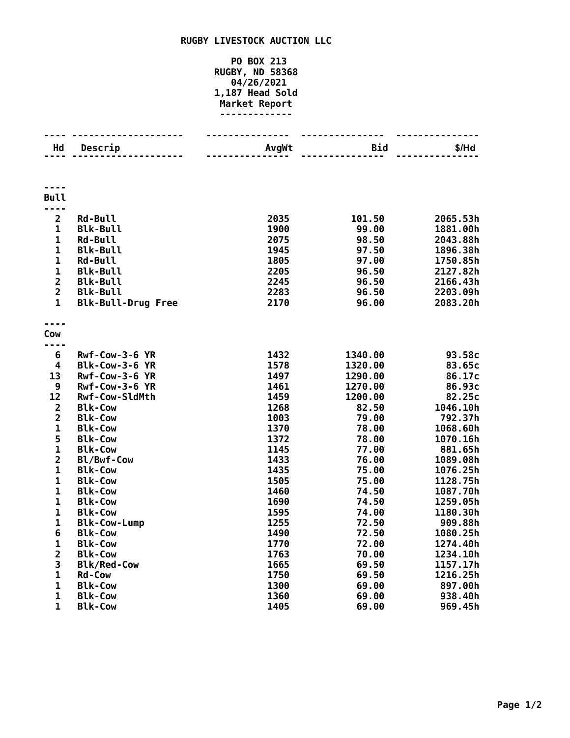## **RUGBY LIVESTOCK AUCTION LLC**

## **PO BOX 213 RUGBY, ND 58368 04/26/2021 1,187 Head Sold Market Report -------------**

| Hd                           | Descrip                          | AvgWt        | Bid            | \$/Hd                |
|------------------------------|----------------------------------|--------------|----------------|----------------------|
|                              |                                  |              |                |                      |
|                              |                                  |              |                |                      |
| <b>Bull</b>                  |                                  |              |                |                      |
| $- - -$<br>$\overline{2}$    | <b>Rd-Bull</b>                   | 2035         | 101.50         | 2065.53h             |
| $\mathbf 1$                  | <b>Blk-Bull</b>                  | 1900         | 99.00          | 1881.00h             |
| $\mathbf 1$                  | <b>Rd-Bull</b>                   | 2075         | 98.50          | 2043.88h             |
| $\mathbf{1}$                 | <b>Blk-Bull</b>                  | 1945         | 97.50          | 1896.38h             |
| $\mathbf{1}$                 | <b>Rd-Bull</b>                   | 1805         | 97.00          | 1750.85h             |
| $\mathbf{1}$                 | <b>Blk-Bull</b>                  | 2205         | 96.50          | 2127.82h             |
| $\overline{2}$               | <b>Blk-Bull</b>                  | 2245         | 96.50          | 2166.43h             |
| $\overline{2}$               | <b>Blk-Bull</b>                  | 2283         | 96.50          | 2203.09h             |
| $\mathbf{1}$                 | <b>Blk-Bull-Drug Free</b>        | 2170         | 96.00          | 2083.20h             |
| Cow                          |                                  |              |                |                      |
|                              |                                  |              |                |                      |
| 6                            | $Rwf-Cow-3-6$ YR                 | 1432         | 1340.00        | 93.58c               |
| 4                            | Blk-Cow-3-6 YR                   | 1578         | 1320.00        | 83.65c               |
| 13                           | Rwf-Cow-3-6 YR                   | 1497         | 1290.00        | 86.17c               |
| 9                            | Rwf-Cow-3-6 YR                   | 1461         | 1270.00        | 86.93c               |
| 12                           | <b>Rwf-Cow-SldMth</b>            | 1459         | 1200.00        | 82.25c               |
| $\mathbf 2$                  | <b>Blk-Cow</b>                   | 1268         | 82.50          | 1046.10h             |
| $\overline{\mathbf{c}}$      | <b>Blk-Cow</b>                   | 1003         | 79.00          | 792.37h              |
| $\mathbf{1}$                 | <b>Blk-Cow</b>                   | 1370         | 78.00          | 1068.60h             |
| 5                            | <b>Blk-Cow</b>                   | 1372         | 78.00          | 1070.16h             |
| $\mathbf{1}$                 | <b>Blk-Cow</b>                   | 1145         | 77.00          | 881.65h              |
| $\overline{2}$               | Bl/Bwf-Cow                       | 1433         | 76.00          | 1089.08h             |
| $\mathbf{1}$<br>$\mathbf{1}$ | <b>Blk-Cow</b>                   | 1435         | 75.00          | 1076.25h             |
| $\mathbf 1$                  | <b>Blk-Cow</b>                   | 1505<br>1460 | 75.00          | 1128.75h             |
| $\mathbf 1$                  | <b>Blk-Cow</b><br><b>Blk-Cow</b> | 1690         | 74.50<br>74.50 | 1087.70h<br>1259.05h |
| $\mathbf 1$                  | <b>Blk-Cow</b>                   | 1595         | 74.00          | 1180.30h             |
| $\mathbf 1$                  | <b>Blk-Cow-Lump</b>              | 1255         | 72.50          | 909.88h              |
| 6                            | <b>Blk-Cow</b>                   | 1490         | 72.50          | 1080.25h             |
| $\mathbf 1$                  | <b>Blk-Cow</b>                   | 1770         | 72.00          | 1274.40h             |
| $\overline{\mathbf{c}}$      | <b>Blk-Cow</b>                   | 1763         | 70.00          | 1234.10h             |
| 3                            | <b>Blk/Red-Cow</b>               | 1665         | 69.50          | 1157.17h             |
| $\mathbf{1}$                 | <b>Rd-Cow</b>                    | 1750         | 69.50          | 1216.25h             |
| $\mathbf 1$                  | <b>Blk-Cow</b>                   | 1300         | 69.00          | 897.00h              |
| $\mathbf{1}$                 | <b>Blk-Cow</b>                   | 1360         | 69.00          | 938.40h              |
| 1                            | <b>Blk-Cow</b>                   | 1405         | 69.00          | 969.45h              |